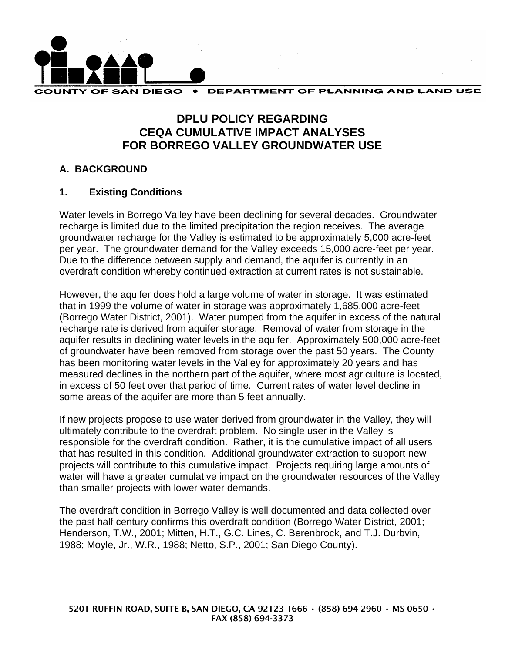

# **DPLU POLICY REGARDING CEQA CUMULATIVE IMPACT ANALYSES FOR BORREGO VALLEY GROUNDWATER USE**

# **A. BACKGROUND**

# **1. Existing Conditions**

Water levels in Borrego Valley have been declining for several decades. Groundwater recharge is limited due to the limited precipitation the region receives. The average groundwater recharge for the Valley is estimated to be approximately 5,000 acre-feet per year. The groundwater demand for the Valley exceeds 15,000 acre-feet per year. Due to the difference between supply and demand, the aquifer is currently in an overdraft condition whereby continued extraction at current rates is not sustainable.

However, the aquifer does hold a large volume of water in storage. It was estimated that in 1999 the volume of water in storage was approximately 1,685,000 acre-feet (Borrego Water District, 2001). Water pumped from the aquifer in excess of the natural recharge rate is derived from aquifer storage. Removal of water from storage in the aquifer results in declining water levels in the aquifer. Approximately 500,000 acre-feet of groundwater have been removed from storage over the past 50 years. The County has been monitoring water levels in the Valley for approximately 20 years and has measured declines in the northern part of the aquifer, where most agriculture is located, in excess of 50 feet over that period of time. Current rates of water level decline in some areas of the aquifer are more than 5 feet annually.

If new projects propose to use water derived from groundwater in the Valley, they will ultimately contribute to the overdraft problem. No single user in the Valley is responsible for the overdraft condition. Rather, it is the cumulative impact of all users that has resulted in this condition. Additional groundwater extraction to support new projects will contribute to this cumulative impact. Projects requiring large amounts of water will have a greater cumulative impact on the groundwater resources of the Valley than smaller projects with lower water demands.

The overdraft condition in Borrego Valley is well documented and data collected over the past half century confirms this overdraft condition (Borrego Water District, 2001; Henderson, T.W., 2001; Mitten, H.T., G.C. Lines, C. Berenbrock, and T.J. Durbvin, 1988; Moyle, Jr., W.R., 1988; Netto, S.P., 2001; San Diego County).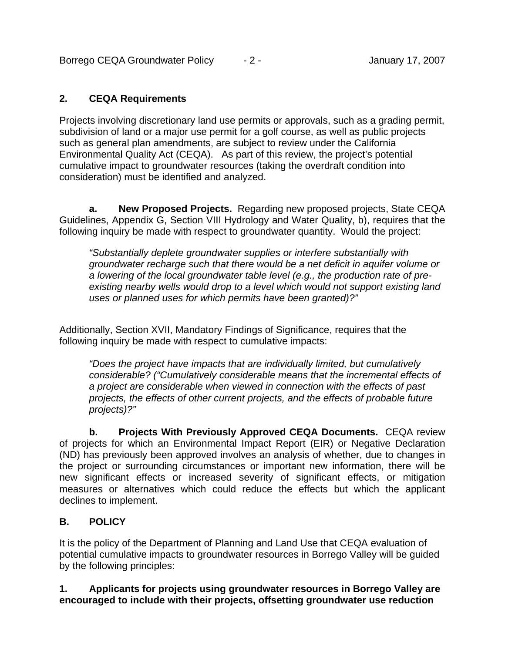Borrego CEQA Groundwater Policy  $-2$  -  $-2$  - January 17, 2007

## **2. CEQA Requirements**

Projects involving discretionary land use permits or approvals, such as a grading permit, subdivision of land or a major use permit for a golf course, as well as public projects such as general plan amendments, are subject to review under the California Environmental Quality Act (CEQA). As part of this review, the project's potential cumulative impact to groundwater resources (taking the overdraft condition into consideration) must be identified and analyzed.

**a. New Proposed Projects.** Regarding new proposed projects, State CEQA Guidelines, Appendix G, Section VIII Hydrology and Water Quality, b), requires that the following inquiry be made with respect to groundwater quantity. Would the project:

*"Substantially deplete groundwater supplies or interfere substantially with groundwater recharge such that there would be a net deficit in aquifer volume or a lowering of the local groundwater table level (e.g., the production rate of preexisting nearby wells would drop to a level which would not support existing land uses or planned uses for which permits have been granted)?"* 

Additionally, Section XVII, Mandatory Findings of Significance, requires that the following inquiry be made with respect to cumulative impacts:

*"Does the project have impacts that are individually limited, but cumulatively considerable? ("Cumulatively considerable means that the incremental effects of a project are considerable when viewed in connection with the effects of past projects, the effects of other current projects, and the effects of probable future projects)?"* 

**b. Projects With Previously Approved CEQA Documents.** CEQA review of projects for which an Environmental Impact Report (EIR) or Negative Declaration (ND) has previously been approved involves an analysis of whether, due to changes in the project or surrounding circumstances or important new information, there will be new significant effects or increased severity of significant effects, or mitigation measures or alternatives which could reduce the effects but which the applicant declines to implement.

# **B. POLICY**

It is the policy of the Department of Planning and Land Use that CEQA evaluation of potential cumulative impacts to groundwater resources in Borrego Valley will be guided by the following principles:

## **1. Applicants for projects using groundwater resources in Borrego Valley are encouraged to include with their projects, offsetting groundwater use reduction**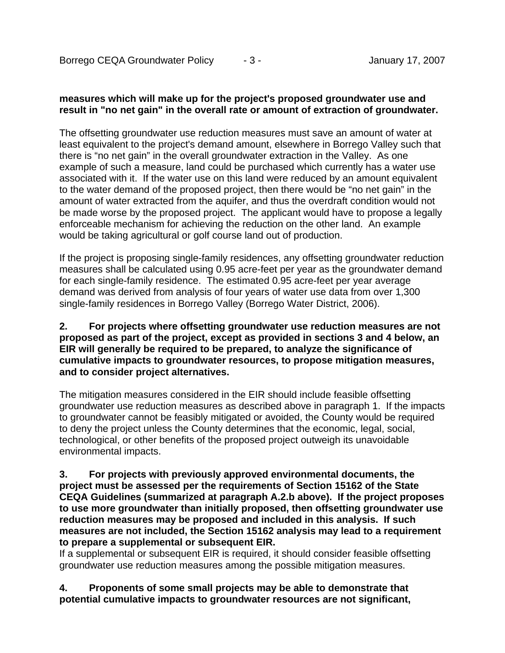## **measures which will make up for the project's proposed groundwater use and result in "no net gain" in the overall rate or amount of extraction of groundwater.**

The offsetting groundwater use reduction measures must save an amount of water at least equivalent to the project's demand amount, elsewhere in Borrego Valley such that there is "no net gain" in the overall groundwater extraction in the Valley. As one example of such a measure, land could be purchased which currently has a water use associated with it. If the water use on this land were reduced by an amount equivalent to the water demand of the proposed project, then there would be "no net gain" in the amount of water extracted from the aquifer, and thus the overdraft condition would not be made worse by the proposed project. The applicant would have to propose a legally enforceable mechanism for achieving the reduction on the other land. An example would be taking agricultural or golf course land out of production.

If the project is proposing single-family residences, any offsetting groundwater reduction measures shall be calculated using 0.95 acre-feet per year as the groundwater demand for each single-family residence. The estimated 0.95 acre-feet per year average demand was derived from analysis of four years of water use data from over 1,300 single-family residences in Borrego Valley (Borrego Water District, 2006).

#### **2. For projects where offsetting groundwater use reduction measures are not proposed as part of the project, except as provided in sections 3 and 4 below, an EIR will generally be required to be prepared, to analyze the significance of cumulative impacts to groundwater resources, to propose mitigation measures, and to consider project alternatives.**

The mitigation measures considered in the EIR should include feasible offsetting groundwater use reduction measures as described above in paragraph 1. If the impacts to groundwater cannot be feasibly mitigated or avoided, the County would be required to deny the project unless the County determines that the economic, legal, social, technological, or other benefits of the proposed project outweigh its unavoidable environmental impacts.

#### **3. For projects with previously approved environmental documents, the project must be assessed per the requirements of Section 15162 of the State CEQA Guidelines (summarized at paragraph A.2.b above). If the project proposes to use more groundwater than initially proposed, then offsetting groundwater use reduction measures may be proposed and included in this analysis. If such measures are not included, the Section 15162 analysis may lead to a requirement to prepare a supplemental or subsequent EIR.**

If a supplemental or subsequent EIR is required, it should consider feasible offsetting groundwater use reduction measures among the possible mitigation measures.

## **4. Proponents of some small projects may be able to demonstrate that potential cumulative impacts to groundwater resources are not significant,**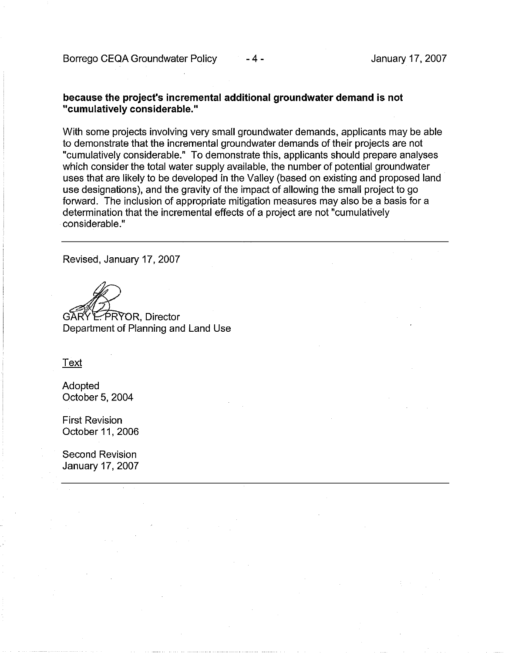#### because the project's incremental additional groundwater demand is not "cumulatively considerable."

With some projects involving very small groundwater demands, applicants may be able to demonstrate that the incremental groundwater demands of their projects are not "cumulatively considerable." To demonstrate this, applicants should prepare analyses which consider the total water supply available, the number of potential groundwater uses that are likely to be developed in the Valley (based on existing and proposed land use designations), and the gravity of the impact of allowing the small project to go forward. The inclusion of appropriate mitigation measures may also be a basis for a determination that the incremental effects of a project are not "cumulatively considerable "

-4-

Revised, January 17, 2007

**E. PRYOR. Director** 

Department of Planning and Land Use

Text

Adopted October 5, 2004

**First Revision** October 11, 2006

Second Revision January 17, 2007